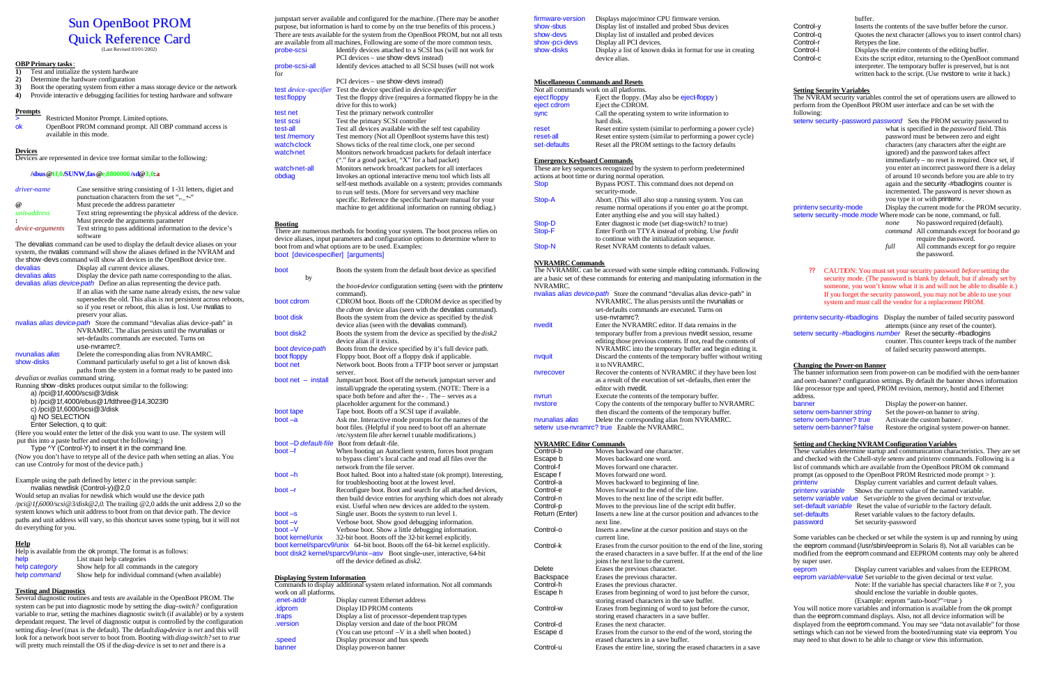# Sun OpenBoot PROM Quick Reference Card

(Last Revised 03/01/2002)

# **OBP Primary tasks**:

- **1)** Test and initialize the system hardware
- **2)** Determine the hardware configuration
- **3)** Boot the operating system from either a mass storage device or the network
- **4)** Provide interactiv e debugging facilities for testing hardware and software

# **Prompts**

> Restricted Monitor Prompt. Limited options. ok OpenBoot PROM command prompt. All OBP command access is

available in this mode.

# **Devices**

The devalias command can be used to display the default device aliases on your system, the nvalias command will show the aliases defined in the NVRAM and  $t_{\text{m}}$  and will show all devices in the OpenBoot device tree.

Devices are represented in device tree format similar to the following:

# **/sbus@1f,0/SUNW,fas@e,8800000/sd@3,0:a**

| driver-name      | Case sensitive string consisting of 1-31 letters, digiet and |  |
|------------------|--------------------------------------------------------------|--|
|                  |                                                              |  |
| $\omega$         | Must precede the address parameter                           |  |
| unit-address     | Text string representing the physical address of the device. |  |
|                  | Must precede the arguments parameter                         |  |
| device-arguments | Text string to pass additional information to the device's   |  |
|                  | software                                                     |  |

|                                                   | the orion acro command will show an acrites in the openboot acrite title.                                                                                                                                                |
|---------------------------------------------------|--------------------------------------------------------------------------------------------------------------------------------------------------------------------------------------------------------------------------|
| devalias                                          | Display all current device aliases.                                                                                                                                                                                      |
| devalias alias                                    | Display the device path name corresponding to the alias.                                                                                                                                                                 |
|                                                   | devalias <i>alias</i> device path Define an alias representing the device path.                                                                                                                                          |
|                                                   | If an alias with the same name already exists, the new value<br>supersedes the old. This alias is not persistent across reboots,<br>so if you reset or reboot, this alias is lost. Use nvalias to<br>preserv your alias. |
|                                                   | nvalias alias device path Store the command "devalias alias device-path" in                                                                                                                                              |
|                                                   | NVRAMRC. The alias persists until the nyunalias or<br>set-defaults commands are executed. Turns on                                                                                                                       |
|                                                   | use-nyramrc?.                                                                                                                                                                                                            |
| nvunalias alias                                   | Delete the corresponding alias from NVRAMRC.                                                                                                                                                                             |
| show-disks                                        | Command particularly useful to get a list of known disk                                                                                                                                                                  |
|                                                   | paths from the system in a format ready to be pasted into                                                                                                                                                                |
| <i>devalias</i> or <i>nvalias</i> command string. |                                                                                                                                                                                                                          |
|                                                   | Running show - disks produces output similar to the following:                                                                                                                                                           |
|                                                   | a) /nri@1f 4000/srsi@3/disk                                                                                                                                                                                              |

jumpstart server available and configured for the machine. (There may be another purpose, but information is hard to come by on the true benefits of this process.) There are tests available for the system from the OpenBoot PROM, but not all tests are available from all machines, Following are some of the more common tests.<br> **Prope-scsi** ldentify devices attached to a SCSI bus (will not work for Identify devices attached to a SCSI bus (will not work for

PCI devices – use show-devs instead) probe-scsi-all Identify devices attached to all SCSI buses (will not work

- a) /pci@1f,4000/scsi@3/disk
- b) /pci@1f,4000/ebus@1/fdthree@14,3023f0
- c) /pci@1f,6000/scsi@3/disk
- q) NO SELECTION

Enter Selection, q to quit:

(Here you would enter the letter of the disk you want to use. The system will put this into a paste buffer and output the following:)

Type ^Y (Control-Y) to insert it in the command line. (Now you don't have to retype all of the device path when setting an alias. You can use Control-y for most of the device path.)

Example using the path defined by letter *c* in the previous sample: nvalias newdisk (Control-y)@2,0

Would setup an nvalias for newdisk which would use the device path */pci@1f,6000/scsi@3/disk@2,0*. The trailing @2,0 adds the unit address 2,0 so the system knows which unit address to boot from on that device path. The device paths and unit address will vary, so this shortcut saves some typing, but it will not do everything for you.

# **Help**

| Help is available from the ok prompt. The format is as follows: |                                                   |  |
|-----------------------------------------------------------------|---------------------------------------------------|--|
| help                                                            | List main help categories                         |  |
| help category                                                   | Show help for all commands in the category        |  |
| help command                                                    | Show help for individual command (when available) |  |

# **Testing and Diagnostics**

Several diagnostic routines and tests are available in the OpenBoot PROM. The system can be put into diagnostic mode by setting the *diag-switch?* configuration variable to *true*, setting the machines diagnostic switch (if available) or by a system dependant request. The level of diagnostic output is controlled by the configuration setting *diag-level* (max is the default). The default *diag-device* is *net* and this will look for a network boot server to boot from. Booting with *diag-switch?* set to *true* will pretty much reinstall the OS if the *diag-device* is set to *net* and there is a

firmware-version Displays major/minor CPU firmware version.<br>
Show-sbus Display list of installed and probed Shus device Display list of installed and probed Sbus devices show-devs Display list of installed and probed devices<br>show-pci-devs Display all PCI devices. show-pci-devs Display all PCI devices.<br>
show-disks Display a list of known of Display a list of known disks in format for use in creating device alias.

for

|               | PCI devices – use show-devs instead)                                       |
|---------------|----------------------------------------------------------------------------|
|               | <b>test</b> device-specifier Test the device specified in device-specifier |
| test floppy   | Test the floppy drive (requires a formatted floppy be in the               |
|               | drive for this to work)                                                    |
| test net      | Test the primary network controller                                        |
| test scsi     | Test the primary SCSI controller                                           |
| test-all      | Test all devices available with the self test capability                   |
| test/memory   | Test memory (Not all OpenBoot systems have this test)                      |
| watch-clock   | Shows ticks of the real time clock, one per second                         |
| watch-net     | Monitors network broadcast packets for default interface                   |
|               | "" for a good packet, "X" for a bad packet)"                               |
| watch-net-all | Monitors network broadcast packets for all interfaces                      |
| obdiag        | Invokes an optional interactive menu tool which lists all                  |
|               | self-test methods available on a system; provides commands                 |
|               | to run self tests. (More for servers and very machine                      |
|               | specific. Reference the specific hardware manual for your                  |
|               | machine to get additional information on running obdiag.)                  |
|               |                                                                            |

#### **Booting**

There are numerous methods for booting your system. The boot process relies on device aliases, input parameters and configuration options to determine where to boot from and what options are to be used. Examples: boot [device-specifier] [arguments]

setenv security -password *password* Sets the PROM security password to what is specified in the *password* field. This password must be between zero and eight characters (any characters after the eight are ignored) and the password takes affect immediately – no reset is required. Once set, if you enter an incorrect password there is a delay of around 10 seconds before you are able to try again and the security -#badlogins counter is incremented. The password is never shown as you type it or with printenv . printenv security-mode Display the current mode for the PROM security.

setenv security -mode *mode* Where *mode* can be none, command, or full. *none* No password required (default).

| boot                          | Boots the system from the default boot device as specified                                       |
|-------------------------------|--------------------------------------------------------------------------------------------------|
| by                            |                                                                                                  |
|                               | the boot-device configuration setting (seen with the printenv<br>command).                       |
| boot cdrom                    | CDROM boot. Boots off the CDROM device as specified by                                           |
|                               | the cdrom device alias (seen with the devalias command).                                         |
| boot disk                     | Boots the system from the device as specified by the <i>disk</i>                                 |
|                               | device alias (seen with the devalias command).                                                   |
| boot disk2                    | Boots the system from the device as specified by the <i>disk</i> 2<br>device alias if it exists. |
| boot device path              | Boots from the device specified by it's full device path.                                        |
| boot floppy                   | Floppy boot. Boot off a floppy disk if applicable.                                               |
| boot net                      | Network boot. Boots from a TFTP boot server or jumpstart                                         |
|                               | server.                                                                                          |
| boot net $-$ install          | Jumpstart boot. Boot off the network jumpstart server and                                        |
|                               | install/upgrade the operating system. (NOTE: There is a                                          |
|                               | space both before and after the - . The - serves as a                                            |
|                               | placeholder argument for the command.)                                                           |
| boot tape                     | Tape boot. Boots off a SCSI tape if available.                                                   |
| $boot -a$                     | Ask me. Interactive mode prompts for the names of the                                            |
|                               | boot files. (Helpful if you need to boot off an alternate                                        |
|                               | /etc/system file after kernel t unable modifications.)                                           |
|                               | boot -D default-file Boot from default -file.                                                    |
| $boot -f$                     | When booting an Autoclient system, forces boot program                                           |
|                               | to bypass client's local cache and read all files over the                                       |
|                               | network from the file server.                                                                    |
| $boot -h$                     | Boot halted. Boot into a halted state (ok prompt). Interesting,                                  |
|                               | for troubleshooting boot at the lowest level.                                                    |
| $boot -r$                     | Reconfigure boot. Boot and search for all attached devices,                                      |
|                               | then build device entries for anything which does not already                                    |
|                               | exist. Useful when new devices are added to the system.                                          |
| $boot -s$                     | Single user. Boots the system to run level 1.                                                    |
| $boot -v$                     | Verbose boot. Show good debugging information.                                                   |
| $boot -V$<br>boot kernel/unix | Verbose boot. Show a little debugging information.                                               |
|                               | 32-bit boot. Boots off the 32-bit kernel explicitly.                                             |
|                               | boot kernel/sparcv9/unix 64-bit boot. Boots off the 64-bit kernel explicitly.                    |
|                               | boot disk2 kernel/sparcv9/unix-asv Boot single-user, interactive, 64-bit                         |
|                               | off the device defined as <i>disk2</i> .                                                         |

### **Displaying System Information**

|                        | Commands to display additional system related information. Not all commands |
|------------------------|-----------------------------------------------------------------------------|
| work on all platforms. |                                                                             |
| .enet-addr             | Display current Ethernet address                                            |
| .idprom                | Display ID PROM contents                                                    |
| traps.                 | Display a list of processor-dependent trap types                            |
| .version               | Display version and date of the boot PROM                                   |
|                        | (You can use priconf $-V$ in a shell when booted.)                          |
| .speed                 | Display processor and bus speeds                                            |
| banner                 | Display power-on banner                                                     |
|                        |                                                                             |

# **Miscellaneous Commands and Resets**

| Not all commands work on all platforms. |                                                           |
|-----------------------------------------|-----------------------------------------------------------|
| eject floppy                            | Eject the floppy. (May also be eject-floppy)              |
| eject cdrom                             | Eject the CDROM.                                          |
| <b>SVNC</b>                             | Call the operating system to write information to         |
|                                         | hard disk.                                                |
| reset                                   | Reset entire system (similar to performing a power cycle) |
| reset-all                               | Reset entire system (similar to performing a power cycle) |
| set-defaults                            | Reset all the PROM settings to the factory defaults       |

## **Emergency Keyboard Commands**

| These are key sequences recognized by the system to perform predetermined |
|---------------------------------------------------------------------------|
| actions at boot time or during normal operation.                          |
| Bypass POST. This command does not depend on                              |
| security-mode.                                                            |
| Abort. (This will also stop a running system. You can                     |
| resume normal operations if you enter <i>go</i> at the prompt.            |
| Enter anything else and you will stay halted.)                            |
| Enter diagnost ic mode (set diag-switch? to true)                         |
| Enter Forth on TTYA instead of probing. Use fxedit                        |
| to continue with the initialization sequence.                             |
| Reset NVRAM contents to default values.                                   |
|                                                                           |

#### **NVRAMRC Commands**

The NVRAMRC can be accessed with some simple editing commands. Following are a basic set of these commands for entering and manipulating information in the NVRAMRC.

|                 | nvalias alias device path Store the command "devalias alias device-path" in |
|-----------------|-----------------------------------------------------------------------------|
|                 | NVRAMRC. The alias persists until the nyunalias or                          |
|                 | set-defaults commands are executed. Turns on                                |
|                 | use-nvramrc?.                                                               |
| nvedit          | Enter the NVRAMRC editor. If data remains in the                            |
|                 | temporary buffer from a previous nvedit session, resume                     |
|                 | editing those previous contents. If not, read the contents of               |
|                 | NVRAMRC into the temporary buffer and begin editing it.                     |
| nvquit          | Discard the contents of the temporary buffer without writing                |
|                 | it to NVRAMRC.                                                              |
| nvrecover       | Recover the contents of NVRAMRC if they have been lost                      |
|                 | as a result of the execution of set -defaults, then enter the               |
|                 | editor with nyedit.                                                         |
| nvrun           | Execute the contents of the temporary buffer.                               |
| nystore         | Copy the contents of the temporary buffer to NVRAMRC                        |
|                 | then discard the contents of the temporary buffer.                          |
| nvunalias alias | Delete the corresponding alias from NVRAMRC.                                |
|                 |                                                                             |

seteny use-nyramrc? true Enable the NVRAMRC

#### **NVRAMRC Editor Commands**

| Control-b                                 | Moves backward one character.                                     |
|-------------------------------------------|-------------------------------------------------------------------|
| Escape b<br>Moves backward one word.      |                                                                   |
| Control-f<br>Moves forward one character. |                                                                   |
| Escape f                                  | Moves forward one word.                                           |
| Control-a                                 | Moves backward to beginning of line.                              |
| Control-e                                 | Moves forward to the end of the line.                             |
| Control-n                                 | Moves to the next line of the script edit buffer.                 |
| Control-p                                 | Moves to the previous line of the script edit buffer.             |
| Return (Enter)                            | Inserts a new line at the cursor position and advances to the     |
|                                           | next line.                                                        |
| Control-o                                 | Inserts a newline at the cursor position and stays on the         |
|                                           | current line.                                                     |
| Control-k                                 | Erases from the cursor position to the end of the line, storing   |
|                                           | the erased characters in a save buffer. If at the end of the line |
|                                           | joins the next line to the current.                               |
| Delete                                    | Erases the previous character.                                    |
| <b>Backspace</b>                          | Erases the previous character.                                    |
| Control-h                                 | Erases the previous character.                                    |
| Escape h                                  | Erases from beginning of word to just before the cursor,          |
|                                           | storing erased characters in the save buffer.                     |
| Control-w                                 | Erases from beginning of word to just before the cursor,          |
|                                           | storing erased characters in a save buffer.                       |
| Control-d                                 | Erases the next character.                                        |
| Escape d                                  | Erases from the cursor to the end of the word, storing the        |
|                                           | erased characters in a save buffer.                               |
| Control-u                                 | Erases the entire line, storing the erased characters in a save   |
|                                           |                                                                   |

|           | buffer.                                                        |  |
|-----------|----------------------------------------------------------------|--|
| Control-y | Inserts the contents of the save buffer before the cursor.     |  |
| Control-q | Quotes the next character (allows you to insert control chars) |  |
| Control-r | Retypes the line.                                              |  |
| Control-I | Displays the entire contents of the editing buffer.            |  |
| Control-c | Exits the script editor, returning to the OpenBoot command     |  |
|           | interpreter. The temporary buffer is preserved, but is not     |  |
|           | written back to the script. (Use nystore to write it back.)    |  |

### **Setting Security Variables**

The NVRAM security variables control the set of operations users are allowed to perform from the OpenBoot PROM user interface and can be set with the following:

> *command* All commands except for *boot* and *go* require the password. *full* All commands except for *go* require

the password.

?? CAUTION: You must set your security password *before* setting the security mode. (The password is blank by default, but if already set by someone, you won't know what it is and will not be able to disable it.) If you forget the security password, you may not be able to use your system and must call the vendor for a replacement PROM.

printenv security-#badlogins Display the number of failed security password attempts (since any reset of the counter). setenv security -#badlogins *number* Reset the security -#badlogins counter. This counter keeps track of the number of failed security password attempts.

#### **Changing the Power-on Banner**

The banner information seen from power-on can be modified with the oem-banner and oem-banner? configuration settings. By default the banner shows information like processor type and speed, PROM revision, memory, hostid and Ethernet address.

| banner                   | Display the power-on banner.                 |
|--------------------------|----------------------------------------------|
| seteny oem-banner string | Set the power-on banner to <i>string</i> .   |
| seteny oem-banner? true  | Activate the custom banner.                  |
| seteny oem-banner? false | Restore the original system power-on banner. |

#### **Setting and Checking NVRAM Configuration Variables**

These variables determine startup and communication characteristics. They are set and checked with the Cshell-style setenv and printenv commands. Following is a list of commands which are available from the OpenBoot PROM ok command prompt (as opposed to the OpenBoot PROM Restricted mode prompt > ):<br>printeny Display current variables and current default values Display current variables and current default values. printenv *variable* Shows the current value of the named variable. setenv *variable value* Set *variable* to the given decimal or text *value*. set-default *variable* Reset the value of *variable* to the factory default. set-defaults Reset variable values to the factory defaults.<br>
password Set security-password Set security-password

Some variables can be checked or set while the system is up and running by using the eeprom command (/usr/sbin/eeprom in Solaris 8). Not all variables can be modified from the eeprom command and EEPROM contents may only be altered by super user.

eeprom Display current variables and values from the EEPROM. eeprom *variable*=*value* Set *variable* to the given decimal or text *value*.

Note: If the variable has special characters like # or ?, you should enclose the variable in double quotes.

(Example: eeprom "auto-boot?"=true )

You will notice more variables and information is available from the ok prompt than the eeprom command displays. Also, not all device information will be displayed from the eeprom command. You may see "data not available" for those settings which can not be viewed from the booted/running state via eeprom. You may need to shut down to be able to change or view this information.